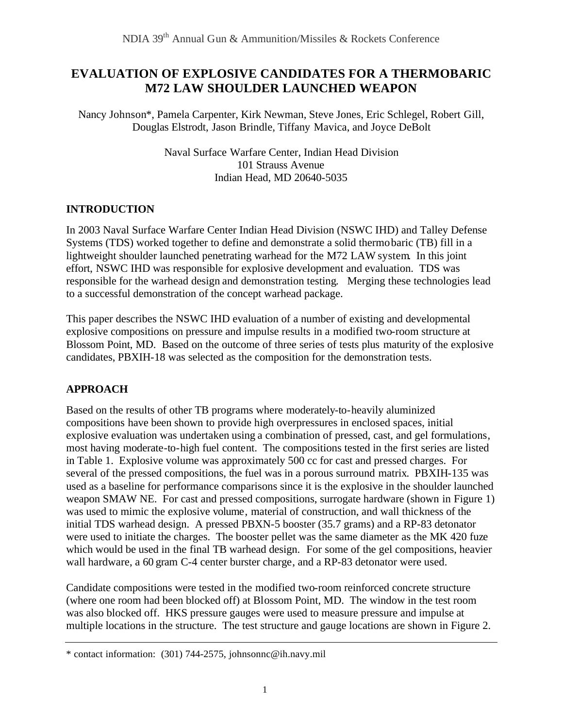# **EVALUATION OF EXPLOSIVE CANDIDATES FOR A THERMOBARIC M72 LAW SHOULDER LAUNCHED WEAPON**

Nancy Johnson\*, Pamela Carpenter, Kirk Newman, Steve Jones, Eric Schlegel, Robert Gill, Douglas Elstrodt, Jason Brindle, Tiffany Mavica, and Joyce DeBolt

> Naval Surface Warfare Center, Indian Head Division 101 Strauss Avenue Indian Head, MD 20640-5035

#### **INTRODUCTION**

In 2003 Naval Surface Warfare Center Indian Head Division (NSWC IHD) and Talley Defense Systems (TDS) worked together to define and demonstrate a solid thermobaric (TB) fill in a lightweight shoulder launched penetrating warhead for the M72 LAW system. In this joint effort, NSWC IHD was responsible for explosive development and evaluation. TDS was responsible for the warhead design and demonstration testing. Merging these technologies lead to a successful demonstration of the concept warhead package.

This paper describes the NSWC IHD evaluation of a number of existing and developmental explosive compositions on pressure and impulse results in a modified two-room structure at Blossom Point, MD. Based on the outcome of three series of tests plus maturity of the explosive candidates, PBXIH-18 was selected as the composition for the demonstration tests.

# **APPROACH**

Based on the results of other TB programs where moderately-to-heavily aluminized compositions have been shown to provide high overpressures in enclosed spaces, initial explosive evaluation was undertaken using a combination of pressed, cast, and gel formulations, most having moderate-to-high fuel content. The compositions tested in the first series are listed in Table 1. Explosive volume was approximately 500 cc for cast and pressed charges. For several of the pressed compositions, the fuel was in a porous surround matrix. PBXIH-135 was used as a baseline for performance comparisons since it is the explosive in the shoulder launched weapon SMAW NE. For cast and pressed compositions, surrogate hardware (shown in Figure 1) was used to mimic the explosive volume, material of construction, and wall thickness of the initial TDS warhead design. A pressed PBXN-5 booster (35.7 grams) and a RP-83 detonator were used to initiate the charges. The booster pellet was the same diameter as the MK 420 fuze which would be used in the final TB warhead design. For some of the gel compositions, heavier wall hardware, a 60 gram C-4 center burster charge, and a RP-83 detonator were used.

Candidate compositions were tested in the modified two-room reinforced concrete structure (where one room had been blocked off) at Blossom Point, MD. The window in the test room was also blocked off. HKS pressure gauges were used to measure pressure and impulse at multiple locations in the structure. The test structure and gauge locations are shown in Figure 2.

<sup>\*</sup> contact information: (301) 744-2575, johnsonnc@ih.navy.mil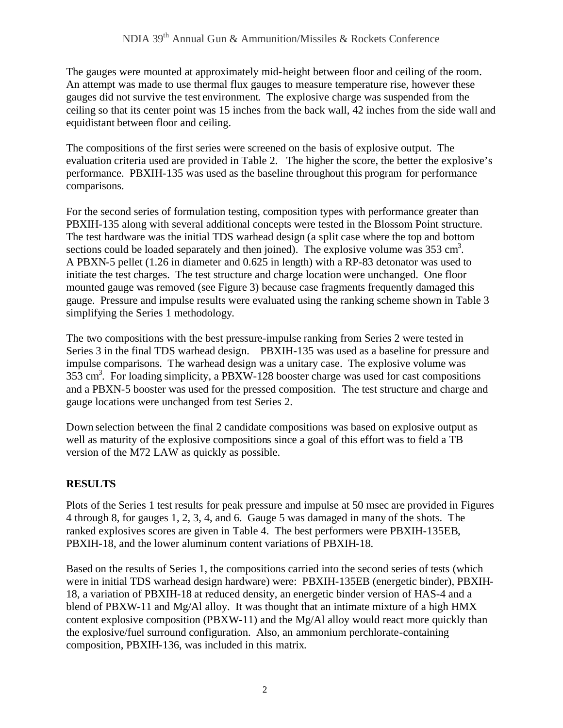The gauges were mounted at approximately mid-height between floor and ceiling of the room. An attempt was made to use thermal flux gauges to measure temperature rise, however these gauges did not survive the test environment. The explosive charge was suspended from the ceiling so that its center point was 15 inches from the back wall, 42 inches from the side wall and equidistant between floor and ceiling.

The compositions of the first series were screened on the basis of explosive output. The evaluation criteria used are provided in Table 2. The higher the score, the better the explosive's performance. PBXIH-135 was used as the baseline throughout this program for performance comparisons.

For the second series of formulation testing, composition types with performance greater than PBXIH-135 along with several additional concepts were tested in the Blossom Point structure. The test hardware was the initial TDS warhead design (a split case where the top and bottom sections could be loaded separately and then joined). The explosive volume was  $353 \text{ cm}^3$ . A PBXN-5 pellet (1.26 in diameter and 0.625 in length) with a RP-83 detonator was used to initiate the test charges. The test structure and charge location were unchanged. One floor mounted gauge was removed (see Figure 3) because case fragments frequently damaged this gauge. Pressure and impulse results were evaluated using the ranking scheme shown in Table 3 simplifying the Series 1 methodology.

The two compositions with the best pressure-impulse ranking from Series 2 were tested in Series 3 in the final TDS warhead design. PBXIH-135 was used as a baseline for pressure and impulse comparisons. The warhead design was a unitary case. The explosive volume was 353 cm<sup>3</sup>. For loading simplicity, a PBXW-128 booster charge was used for cast compositions and a PBXN-5 booster was used for the pressed composition. The test structure and charge and gauge locations were unchanged from test Series 2.

Down selection between the final 2 candidate compositions was based on explosive output as well as maturity of the explosive compositions since a goal of this effort was to field a TB version of the M72 LAW as quickly as possible.

# **RESULTS**

Plots of the Series 1 test results for peak pressure and impulse at 50 msec are provided in Figures 4 through 8, for gauges 1, 2, 3, 4, and 6. Gauge 5 was damaged in many of the shots. The ranked explosives scores are given in Table 4. The best performers were PBXIH-135EB, PBXIH-18, and the lower aluminum content variations of PBXIH-18.

Based on the results of Series 1, the compositions carried into the second series of tests (which were in initial TDS warhead design hardware) were: PBXIH-135EB (energetic binder), PBXIH-18, a variation of PBXIH-18 at reduced density, an energetic binder version of HAS-4 and a blend of PBXW-11 and Mg/Al alloy. It was thought that an intimate mixture of a high HMX content explosive composition (PBXW-11) and the Mg/Al alloy would react more quickly than the explosive/fuel surround configuration. Also, an ammonium perchlorate-containing composition, PBXIH-136, was included in this matrix.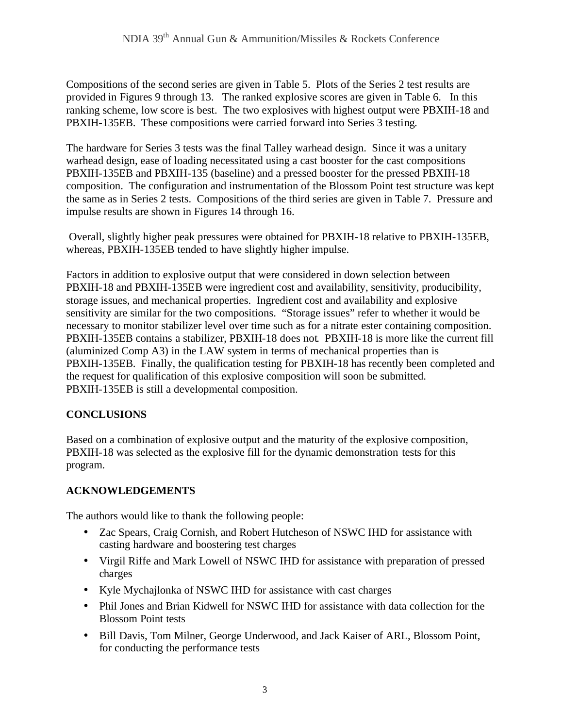Compositions of the second series are given in Table 5. Plots of the Series 2 test results are provided in Figures 9 through 13. The ranked explosive scores are given in Table 6. In this ranking scheme, low score is best. The two explosives with highest output were PBXIH-18 and PBXIH-135EB. These compositions were carried forward into Series 3 testing.

The hardware for Series 3 tests was the final Talley warhead design. Since it was a unitary warhead design, ease of loading necessitated using a cast booster for the cast compositions PBXIH-135EB and PBXIH-135 (baseline) and a pressed booster for the pressed PBXIH-18 composition. The configuration and instrumentation of the Blossom Point test structure was kept the same as in Series 2 tests. Compositions of the third series are given in Table 7. Pressure and impulse results are shown in Figures 14 through 16.

Overall, slightly higher peak pressures were obtained for PBXIH-18 relative to PBXIH-135EB, whereas, PBXIH-135EB tended to have slightly higher impulse.

Factors in addition to explosive output that were considered in down selection between PBXIH-18 and PBXIH-135EB were ingredient cost and availability, sensitivity, producibility, storage issues, and mechanical properties. Ingredient cost and availability and explosive sensitivity are similar for the two compositions. "Storage issues" refer to whether it would be necessary to monitor stabilizer level over time such as for a nitrate ester containing composition. PBXIH-135EB contains a stabilizer, PBXIH-18 does not. PBXIH-18 is more like the current fill (aluminized Comp A3) in the LAW system in terms of mechanical properties than is PBXIH-135EB. Finally, the qualification testing for PBXIH-18 has recently been completed and the request for qualification of this explosive composition will soon be submitted. PBXIH-135EB is still a developmental composition.

# **CONCLUSIONS**

Based on a combination of explosive output and the maturity of the explosive composition, PBXIH-18 was selected as the explosive fill for the dynamic demonstration tests for this program.

# **ACKNOWLEDGEMENTS**

The authors would like to thank the following people:

- Zac Spears, Craig Cornish, and Robert Hutcheson of NSWC IHD for assistance with casting hardware and boostering test charges
- Virgil Riffe and Mark Lowell of NSWC IHD for assistance with preparation of pressed charges
- Kyle Mychajlonka of NSWC IHD for assistance with cast charges
- Phil Jones and Brian Kidwell for NSWC IHD for assistance with data collection for the Blossom Point tests
- Bill Davis, Tom Milner, George Underwood, and Jack Kaiser of ARL, Blossom Point, for conducting the performance tests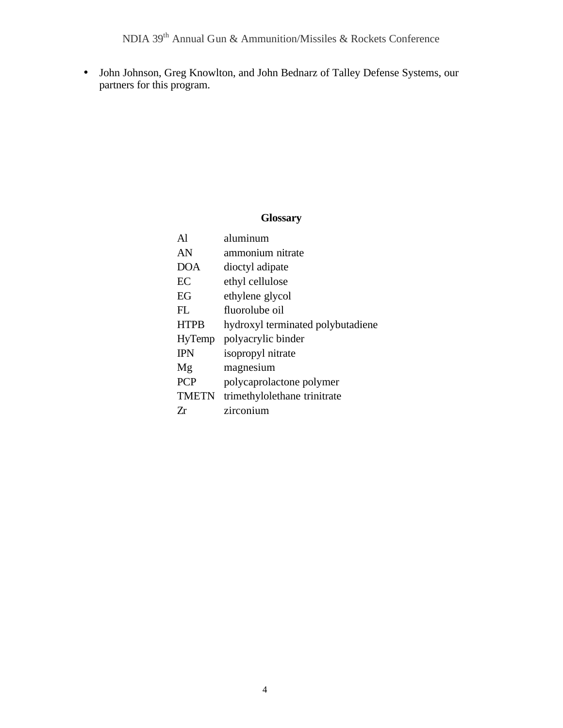• John Johnson, Greg Knowlton, and John Bednarz of Talley Defense Systems, our partners for this program.

#### **Glossary**

| A1            | aluminum                          |
|---------------|-----------------------------------|
| AN            | ammonium nitrate                  |
| DOA           | dioctyl adipate                   |
| EC            | ethyl cellulose                   |
| EG            | ethylene glycol                   |
| FL.           | fluorolube oil                    |
| <b>HTPB</b>   | hydroxyl terminated polybutadiene |
| <b>HyTemp</b> | polyacrylic binder                |
| <b>IPN</b>    | isopropyl nitrate                 |
| Mg            | magnesium                         |
| <b>PCP</b>    | polycaprolactone polymer          |
| <b>TMETN</b>  | trimethylolethane trinitrate      |
| 7r            | zirconium                         |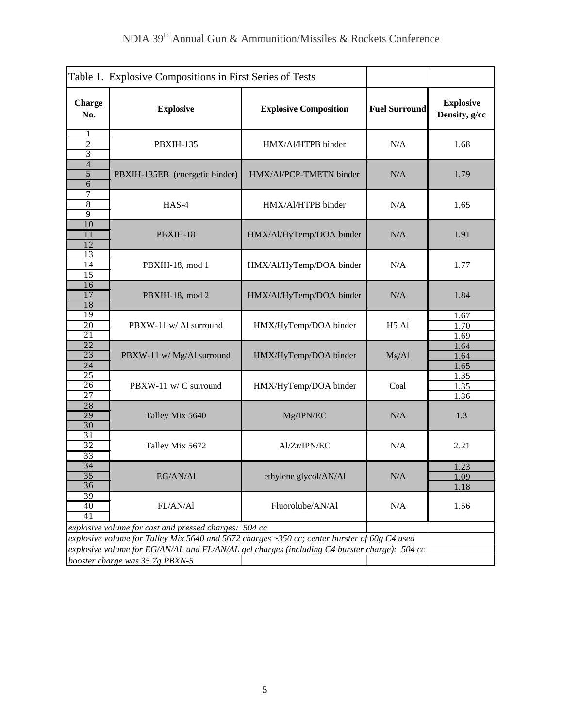| Table 1. Explosive Compositions in First Series of Tests                                                                                                                                                                                                                                 |                                |                              |                      |                                   |
|------------------------------------------------------------------------------------------------------------------------------------------------------------------------------------------------------------------------------------------------------------------------------------------|--------------------------------|------------------------------|----------------------|-----------------------------------|
| <b>Charge</b><br>No.                                                                                                                                                                                                                                                                     | <b>Explosive</b>               | <b>Explosive Composition</b> | <b>Fuel Surround</b> | <b>Explosive</b><br>Density, g/cc |
| 1<br>$\overline{c}$<br>3                                                                                                                                                                                                                                                                 | <b>PBXIH-135</b>               | HMX/Al/HTPB binder           | N/A                  | 1.68                              |
| $\overline{4}$<br>5<br>$\overline{6}$                                                                                                                                                                                                                                                    | PBXIH-135EB (energetic binder) | HMX/Al/PCP-TMETN binder      | N/A                  | 1.79                              |
| 7<br>$\overline{8}$<br>$\overline{9}$                                                                                                                                                                                                                                                    | HAS-4                          | HMX/Al/HTPB binder           | N/A                  | 1.65                              |
| 10<br>11<br>12                                                                                                                                                                                                                                                                           | PBXIH-18                       | HMX/Al/HyTemp/DOA binder     | N/A                  | 1.91                              |
| 13<br>$\overline{14}$<br>$\overline{15}$                                                                                                                                                                                                                                                 | PBXIH-18, mod 1                | HMX/Al/HyTemp/DOA binder     | N/A                  | 1.77                              |
| 16<br>17<br>18                                                                                                                                                                                                                                                                           | PBXIH-18, mod 2                | HMX/Al/HyTemp/DOA binder     | N/A                  | 1.84                              |
| 19<br>20<br>$\overline{21}$                                                                                                                                                                                                                                                              | PBXW-11 w/ Al surround         | HMX/HyTemp/DOA binder        | H <sub>5</sub> Al    | 1.67<br>1.70<br>1.69              |
| $\overline{22}$<br>$\overline{23}$<br>$\overline{24}$                                                                                                                                                                                                                                    | PBXW-11 w/ Mg/Al surround      | HMX/HyTemp/DOA binder        | Mg/Al                | 1.64<br>1.64<br>1.65              |
| 25<br>26<br>27                                                                                                                                                                                                                                                                           | PBXW-11 w/ C surround          | HMX/HyTemp/DOA binder        | Coal                 | 1.35<br>1.35<br>1.36              |
| 28<br>29<br>30                                                                                                                                                                                                                                                                           | Talley Mix 5640                | Mg/IPN/EC                    | N/A                  | 1.3                               |
| $\overline{31}$<br>32<br>33                                                                                                                                                                                                                                                              | Talley Mix 5672                | Al/Zr/IPN/EC                 | N/A                  | 2.21                              |
| 34<br>$\overline{35}$<br>36                                                                                                                                                                                                                                                              | EG/AN/Al                       | ethylene glycol/AN/Al        | N/A                  | 1.23<br>1.09<br>1.18              |
| 39<br>40<br>41                                                                                                                                                                                                                                                                           | FL/AN/Al                       | Fluorolube/AN/Al             | N/A                  | 1.56                              |
| explosive volume for cast and pressed charges: 504 cc<br>explosive volume for Talley Mix 5640 and 5672 charges ~350 cc; center burster of 60g C4 used<br>explosive volume for EG/AN/AL and FL/AN/AL gel charges (including C4 burster charge): 504 cc<br>booster charge was 35.7g PBXN-5 |                                |                              |                      |                                   |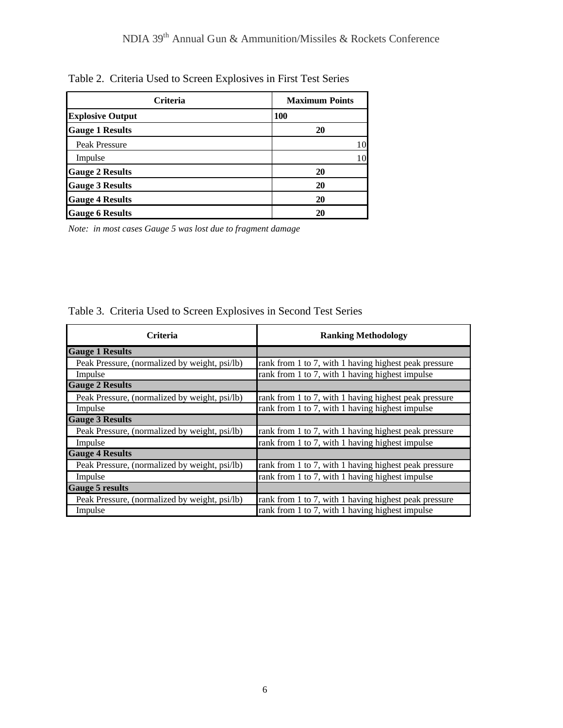| <b>Criteria</b>         | <b>Maximum Points</b> |
|-------------------------|-----------------------|
| <b>Explosive Output</b> | <b>100</b>            |
| <b>Gauge 1 Results</b>  | 20                    |
| Peak Pressure           | 10                    |
| Impulse                 | 10                    |
| <b>Gauge 2 Results</b>  | 20                    |
| <b>Gauge 3 Results</b>  | 20                    |
| <b>Gauge 4 Results</b>  | 20                    |
| <b>Gauge 6 Results</b>  | 20                    |

Table 2. Criteria Used to Screen Explosives in First Test Series

*Note: in most cases Gauge 5 was lost due to fragment damage*

|  |  |  |  |  |  |  | Table 3. Criteria Used to Screen Explosives in Second Test Series |
|--|--|--|--|--|--|--|-------------------------------------------------------------------|
|--|--|--|--|--|--|--|-------------------------------------------------------------------|

| <b>Criteria</b>                               | <b>Ranking Methodology</b>                            |
|-----------------------------------------------|-------------------------------------------------------|
| <b>Gauge 1 Results</b>                        |                                                       |
| Peak Pressure, (normalized by weight, psi/lb) | rank from 1 to 7, with 1 having highest peak pressure |
| Impulse                                       | rank from 1 to 7, with 1 having highest impulse       |
| <b>Gauge 2 Results</b>                        |                                                       |
| Peak Pressure, (normalized by weight, psi/lb) | rank from 1 to 7, with 1 having highest peak pressure |
| Impulse                                       | rank from 1 to 7, with 1 having highest impulse       |
| <b>Gauge 3 Results</b>                        |                                                       |
| Peak Pressure, (normalized by weight, psi/lb) | rank from 1 to 7, with 1 having highest peak pressure |
| Impulse                                       | rank from 1 to 7, with 1 having highest impulse       |
| <b>Gauge 4 Results</b>                        |                                                       |
| Peak Pressure, (normalized by weight, psi/lb) | rank from 1 to 7, with 1 having highest peak pressure |
| Impulse                                       | rank from 1 to 7, with 1 having highest impulse       |
| <b>Gauge 5 results</b>                        |                                                       |
| Peak Pressure, (normalized by weight, psi/lb) | rank from 1 to 7, with 1 having highest peak pressure |
| Impulse                                       | rank from 1 to 7, with 1 having highest impulse       |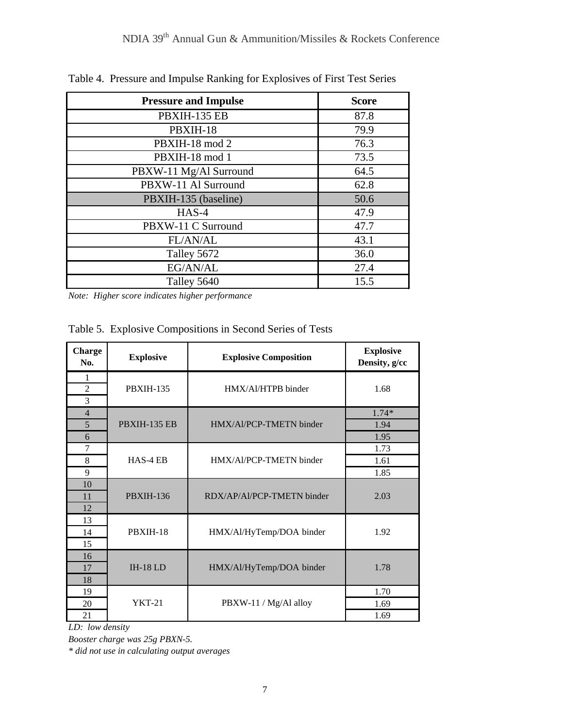| <b>Pressure and Impulse</b> | <b>Score</b> |
|-----------------------------|--------------|
| PBXIH-135 EB                | 87.8         |
| PBXIH-18                    | 79.9         |
| PBXIH-18 mod 2              | 76.3         |
| PBXIH-18 mod 1              | 73.5         |
| PBXW-11 Mg/Al Surround      | 64.5         |
| PBXW-11 Al Surround         | 62.8         |
| PBXIH-135 (baseline)        | 50.6         |
| $HAS-4$                     | 47.9         |
| PBXW-11 C Surround          | 47.7         |
| FL/AN/AL                    | 43.1         |
| Talley 5672                 | 36.0         |
| EG/AN/AL                    | 27.4         |
| Talley 5640                 | 15.5         |

Table 4. Pressure and Impulse Ranking for Explosives of First Test Series

*Note: Higher score indicates higher performance*

Table 5. Explosive Compositions in Second Series of Tests

| <b>Charge</b><br>No.     | <b>Explosive</b> | <b>Explosive Composition</b> | <b>Explosive</b><br>Density, g/cc |
|--------------------------|------------------|------------------------------|-----------------------------------|
| 1<br>$\overline{2}$<br>3 | <b>PBXIH-135</b> | HMX/Al/HTPB binder           | 1.68                              |
| $\overline{4}$<br>5<br>6 | PBXIH-135 EB     | HMX/Al/PCP-TMETN binder      | $1.74*$<br>1.94<br>1.95           |
| 7<br>8<br>9              | HAS-4 EB         | HMX/Al/PCP-TMETN binder      | 1.73<br>1.61<br>1.85              |
| 10<br>11<br>12           | <b>PBXIH-136</b> | RDX/AP/Al/PCP-TMETN binder   | 2.03                              |
| 13<br>14<br>15           | PBXIH-18         | HMX/Al/HyTemp/DOA binder     | 1.92                              |
| 16<br>17<br>18           | $IH-18LD$        | HMX/Al/HyTemp/DOA binder     | 1.78                              |
| 19<br>20<br>21           | <b>YKT-21</b>    | PBXW-11 / Mg/Al alloy        | 1.70<br>1.69<br>1.69              |

*LD: low density*

*Booster charge was 25g PBXN-5.*

*\* did not use in calculating output averages*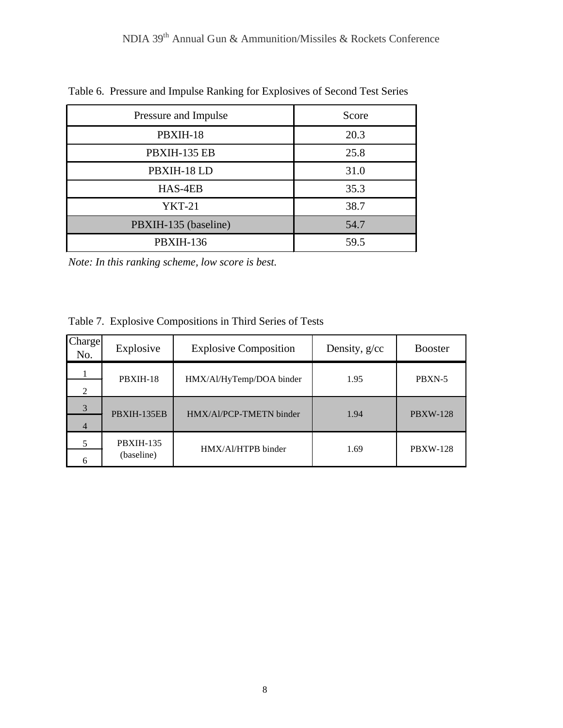| Pressure and Impulse | Score |
|----------------------|-------|
| PBXIH-18             | 20.3  |
| PBXIH-135 EB         | 25.8  |
| PBXIH-18 LD          | 31.0  |
| HAS-4EB              | 35.3  |
| <b>YKT-21</b>        | 38.7  |
| PBXIH-135 (baseline) | 54.7  |
| <b>PBXIH-136</b>     | 59.5  |

Table 6. Pressure and Impulse Ranking for Explosives of Second Test Series

*Note: In this ranking scheme, low score is best.*

|  | Table 7. Explosive Compositions in Third Series of Tests |  |
|--|----------------------------------------------------------|--|
|  |                                                          |  |

| Charge<br>No.               | Explosive                      | <b>Explosive Composition</b> | Density, g/cc | <b>Booster</b>  |
|-----------------------------|--------------------------------|------------------------------|---------------|-----------------|
| $\mathcal{D}_{\mathcal{L}}$ | PBXIH-18                       | HMX/Al/HyTemp/DOA binder     | 1.95          | PBXN-5          |
| 3<br>4                      | PBXIH-135EB                    | HMX/Al/PCP-TMETN binder      | 1.94          | <b>PBXW-128</b> |
| 6                           | <b>PBXIH-135</b><br>(baseline) | HMX/Al/HTPB binder           | 1.69          | <b>PBXW-128</b> |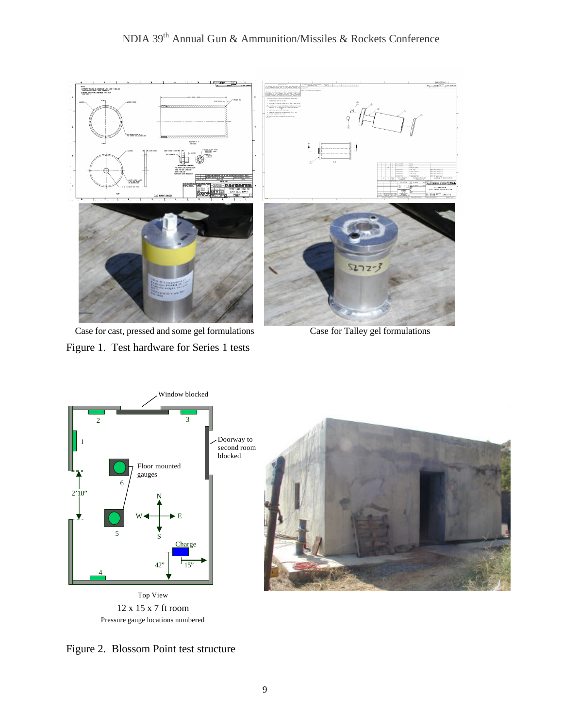

 Case for cast, pressed and some gel formulations Case for Talley gel formulations Figure 1. Test hardware for Series 1 tests



Pressure gauge locations numbered



Figure 2. Blossom Point test structure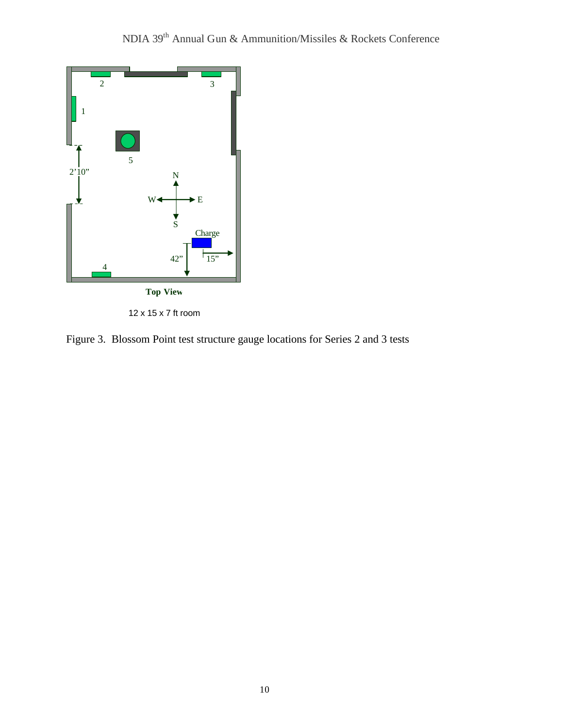

12 x 15 x 7 ft room

Figure 3. Blossom Point test structure gauge locations for Series 2 and 3 tests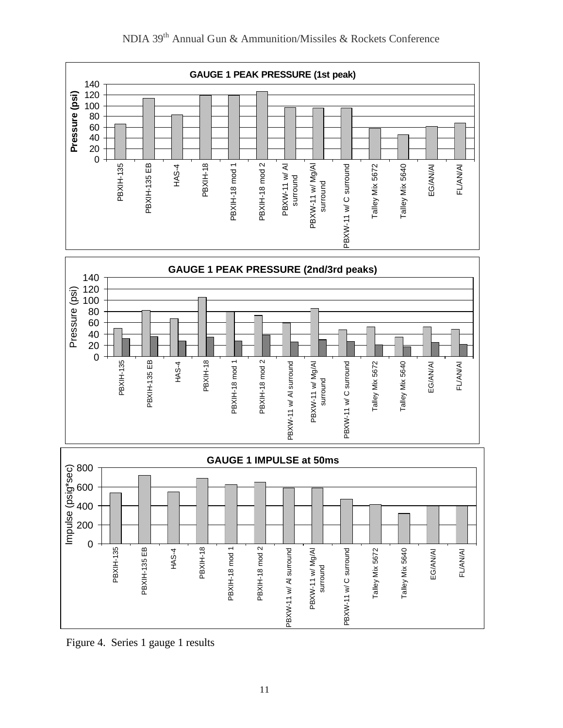

Figure 4. Series 1 gauge 1 results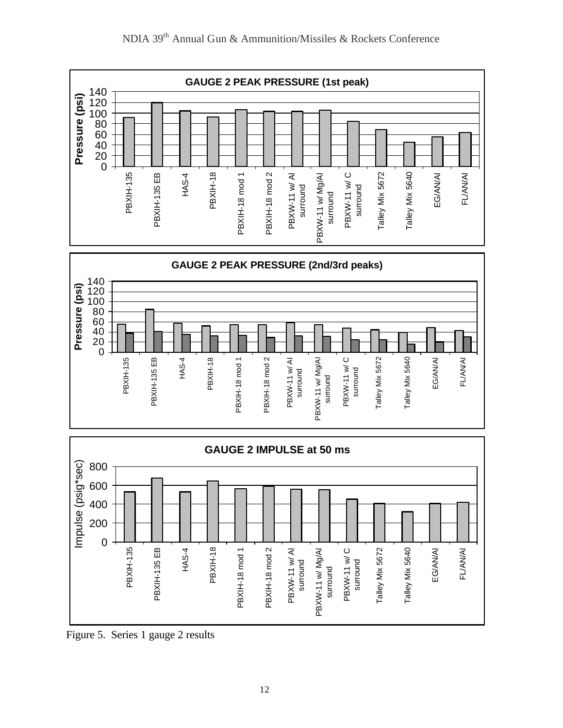

Figure 5. Series 1 gauge 2 results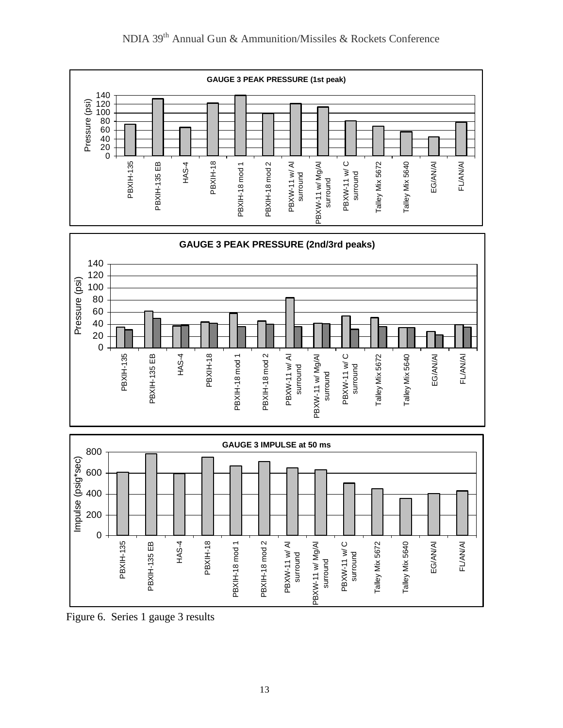

Figure 6. Series 1 gauge 3 results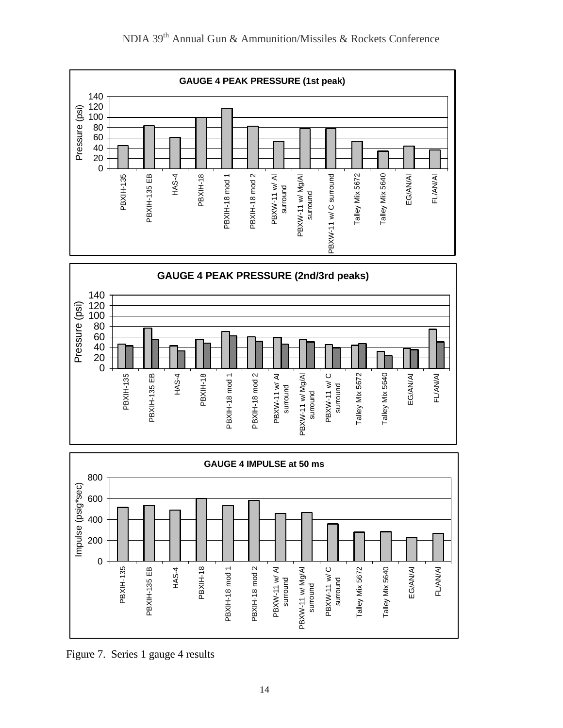



Figure 7. Series 1 gauge 4 results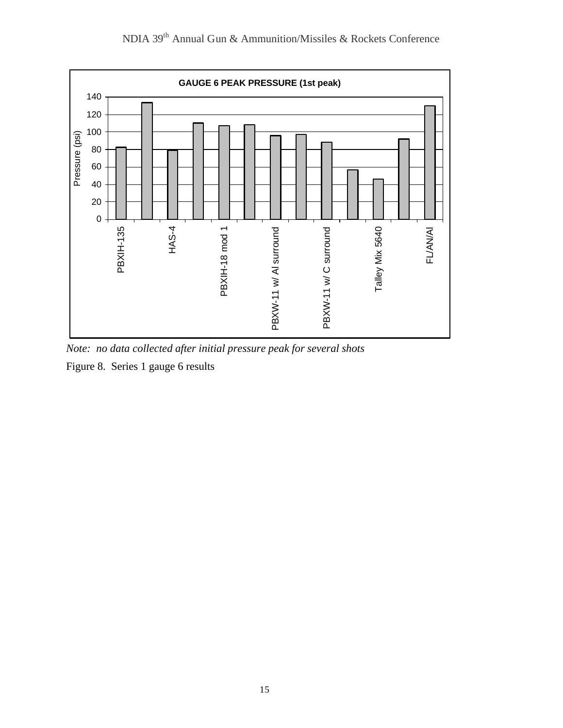

*Note: no data collected after initial pressure peak for several shots*

Figure 8. Series 1 gauge 6 results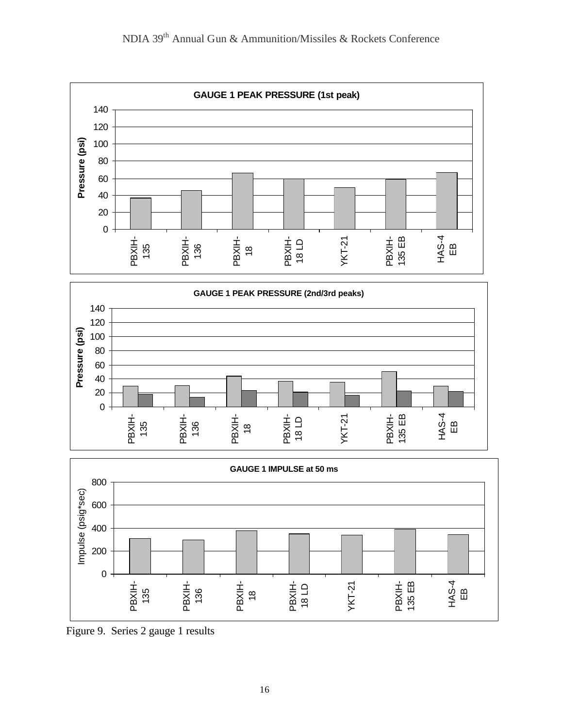







Figure 9. Series 2 gauge 1 results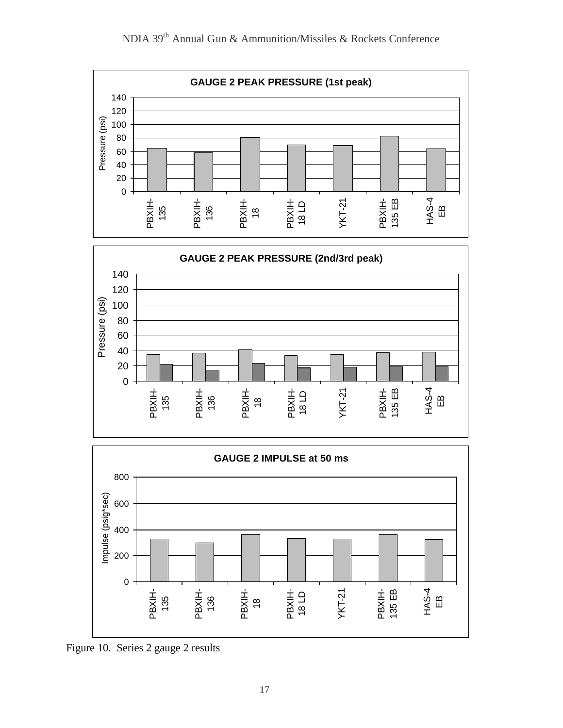





Figure 10. Series 2 gauge 2 results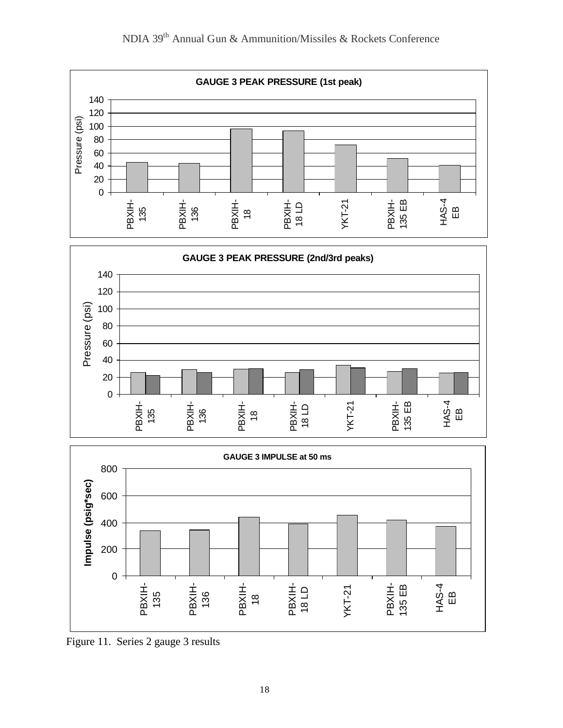

Figure 11. Series 2 gauge 3 results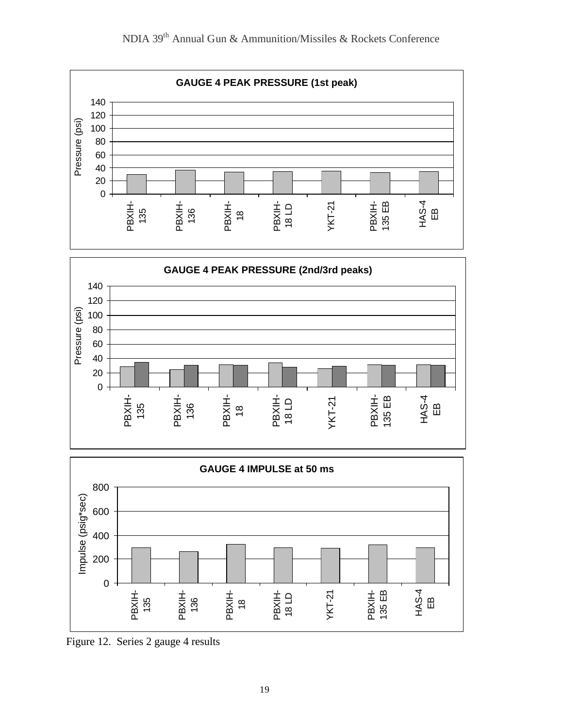

Figure 12. Series 2 gauge 4 results

135

136

 $\frac{\infty}{1}$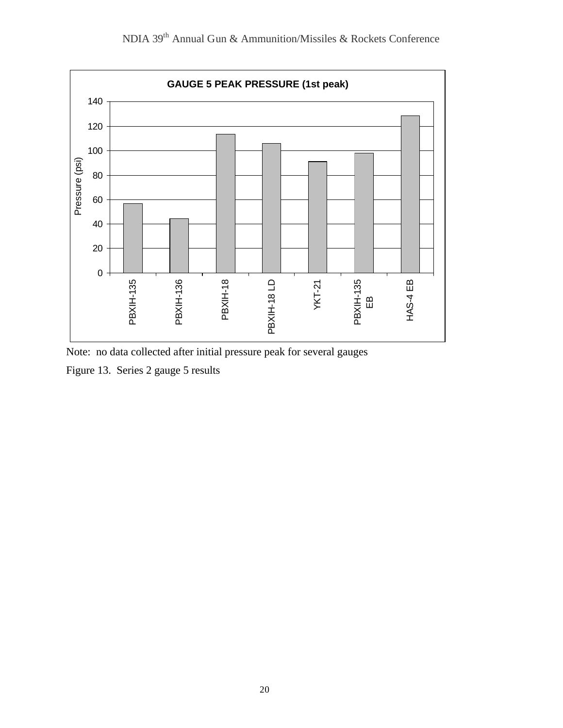

NDIA 39th Annual Gun & Ammunition/Missiles & Rockets Conference

Note: no data collected after initial pressure peak for several gauges

Figure 13. Series 2 gauge 5 results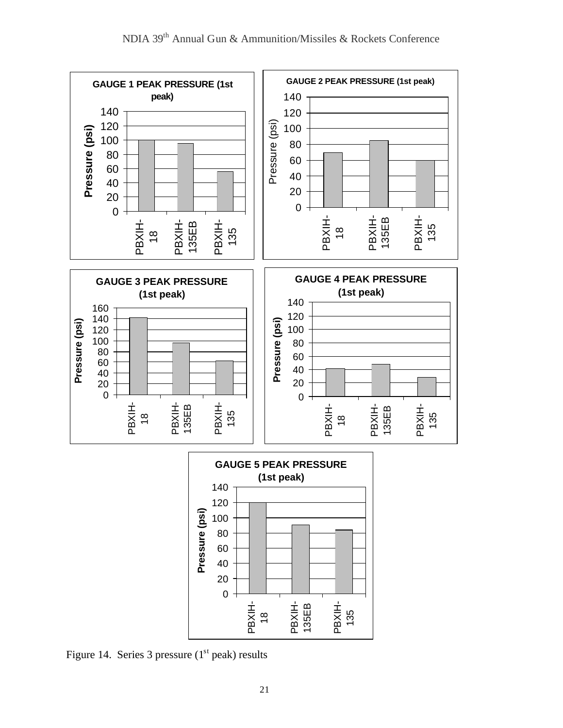



Figure 14. Series 3 pressure  $(1<sup>st</sup>$  peak) results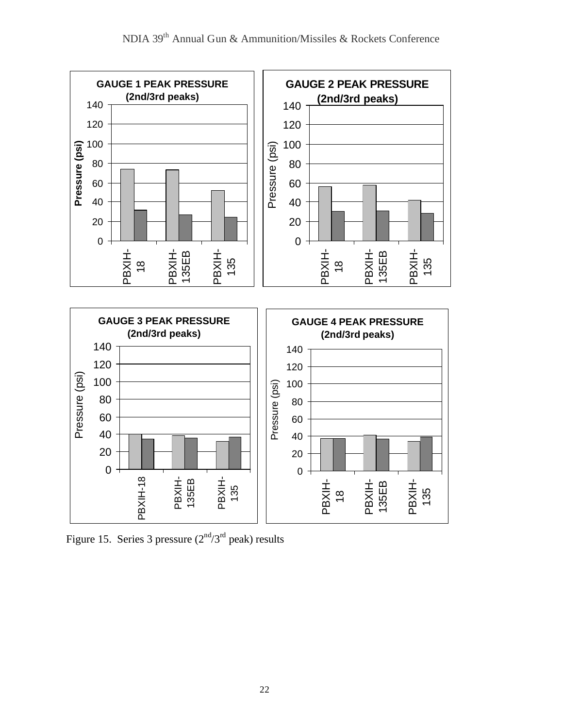

Figure 15. Series 3 pressure  $(2<sup>nd</sup>/3<sup>rd</sup>$  peak) results